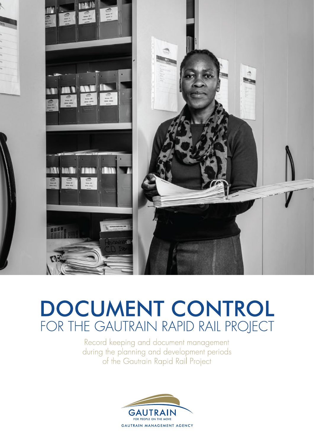

# DOCUMENT CONTROL FOR THE GAUTRAIN RAPID RAIL PROJECT

Record keeping and document management during the planning and development periods of the Gautrain Rapid Rail Project

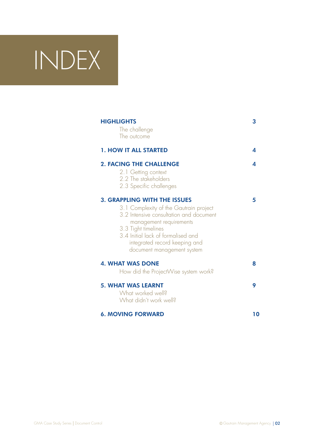# INDEX

| <b>HIGHLIGHTS</b><br>The challenge<br>The outcome                                                                                                                                                                                                                               | 3  |
|---------------------------------------------------------------------------------------------------------------------------------------------------------------------------------------------------------------------------------------------------------------------------------|----|
| <b>1. HOW IT ALL STARTED</b>                                                                                                                                                                                                                                                    | 4  |
| <b>2. FACING THE CHALLENGE</b><br>2.1 Getting context<br>2.2 The stakeholders<br>2.3 Specific challenges                                                                                                                                                                        | Δ  |
| <b>3. GRAPPLING WITH THE ISSUES</b><br>3.1 Complexity of the Gautrain project<br>3.2 Intensive consultation and document<br>management requirements<br>3.3 Tight timelines<br>3.4 Initial lack of formalised and<br>integrated record keeping and<br>document management system | 5  |
| <b>4. WHAT WAS DONE</b>                                                                                                                                                                                                                                                         | 8  |
| How did the ProjectWise system work?<br><b>5. WHAT WAS LEARNT</b><br>What worked well?<br>What didn't work well?                                                                                                                                                                | 9  |
| <b>6. MOVING FORWARD</b>                                                                                                                                                                                                                                                        | 10 |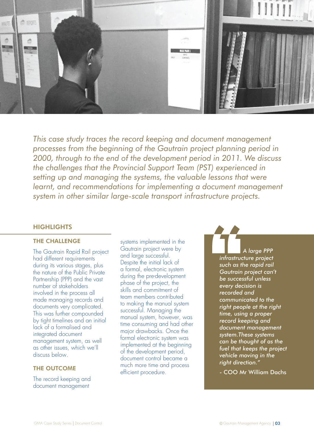

*This case study traces the record keeping and document management processes from the beginning of the Gautrain project planning period in 2000, through to the end of the development period in 2011. We discuss the challenges that the Provincial Support Team (PST) experienced in setting up and managing the systems, the valuable lessons that were learnt, and recommendations for implementing a document management system in other similar large-scale transport infrastructure projects.*

# **HIGHLIGHTS**

# THE CHALLENGE

The Gautrain Rapid Rail project had different requirements during its various stages, plus the nature of the Public Private Partnership (PPP) and the vast number of stakeholders involved in the process all made managing records and documents very complicated. This was further compounded by tight timelines and an initial lack of a formalised and integrated document management system, as well as other issues, which we'll discuss below.

# THE OUTCOME

The record keeping and document management

systems implemented in the Gautrain project were by and large successful. Despite the initial lack of a formal, electronic system during the pre-development phase of the project, the skills and commitment of team members contributed to making the manual system successful. Managing the manual system, however, was time consuming and had other major drawbacks. Once the formal electronic system was implemented at the beginning of the development period, document control became a much more time and process efficient procedure.

*A large PPP*<br>A large PPP<br>such as the rapid rail<br>Gautrain project can't<br>be successful unless *infrastructure project such as the rapid rail Gautrain project can't be successful unless every decision is recorded and communicated to the right people at the right time, using a proper record keeping and document management system.These systems can be thought of as the fuel that keeps the project vehicle moving in the right direction."*

- COO Mr William Dachs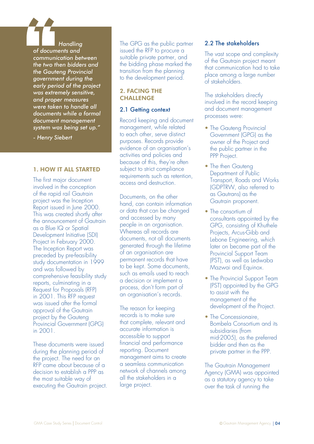*Handling of documents and communication between the two then bidders and the Gauteng Provincial government during the early period of the project was extremely sensitive, and proper measures were taken to handle all documents while a formal document management system was being set up."* 

*- Henry Siebert*

# 1. HOW IT ALL STARTED

The first major document involved in the conception of the rapid rail Gautrain project was the Inception Report issued in June 2000. This was created shortly after the announcement of Gautrain as a Blue IQ or Spatial Development Initiative (SDI) Project in February 2000. The Inception Report was preceded by pre-feasibility study documentation in 1999 and was followed by comprehensive feasibility study reports, culminating in a Request for Proposals (RFP) in 2001. This RFP request was issued after the formal approval of the Gautrain project by the Gauteng Provincial Government (GPG) in 2001.

These documents were issued during the planning period of the project. The need for an RFP came about because of a decision to establish a PPP as the most suitable way of executing the Gautrain project. The GPG as the public partner issued the RFP to procure a suitable private partner, and the bidding phase marked the transition from the planning to the development period.

# 2. FACING THE **CHALLENGE**

# 2.1 Getting context

Record keeping and document management, while related to each other, serve distinct purposes. Records provide evidence of an organisation's activities and policies and because of this, they're often subject to strict compliance requirements such as retention, access and destruction.

Documents, on the other hand, can contain information or data that can be changed and accessed by many people in an organisation. Whereas all records are documents, not all documents generated through the lifetime of an organisation are permanent records that have to be kept. Some documents, such as emails used to reach a decision or implement a process, don't form part of an organisation's records.

The reason for keeping records is to make sure that complete, relevant and accurate information is accessible to support financial and performance reporting. Document management aims to create a seamless communication network of channels among all the stakeholders in a large project.

# 2.2 The stakeholders

The vast scope and complexity of the Gautrain project meant that communication had to take place among a large number of stakeholders.

The stakeholders directly involved in the record keeping and document management processes were:

- The Gauteng Provincial Government (GPG) as the owner of the Project and the public partner in the PPP Project.
- The then Gauteng Department of Public Transport, Roads and Works (GDPTRW, also referred to as Gautrans) as the Gautrain proponent.
- The consortium of consultants appointed by the GPG, consisting of Khuthele Projects, Arcus-Gibb and Lebone Engineering, which later on became part of the Provincial Support Team (PST), as well as Ledwaba Mazwai and Equinox.
- The Provincial Support Team (PST) appointed by the GPG to assist with the management of the development of the Project.
- The Concessionaire Bombela Consortium and its subsidiaries (from mid-2005), as the preferred bidder and then as the private partner in the PPP.

The Gautrain Management Agency (GMA) was appointed as a statutory agency to take over the task of running the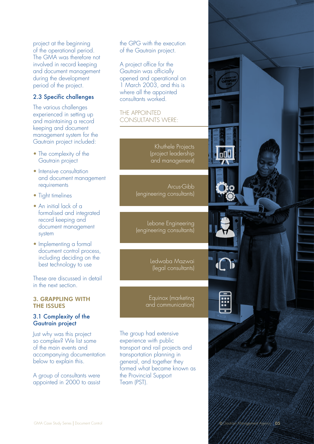project at the beginning of the operational period. The GMA was therefore not involved in record keeping and document management during the development period of the project.

# 2.3 Specific challenges

The various challenges experienced in setting up and maintaining a record keeping and document management system for the Gautrain project included:

- The complexity of the Gautrain project
- Intensive consultation and document management requirements
- Tight timelines
- An initial lack of a formalised and integrated record keeping and document management system
- Implementing a formal document control process, including deciding on the best technology to use

These are discussed in detail in the next section.

# 3. GRAPPLING WITH THE ISSUES

# 3.1 Complexity of the Gautrain project

Just why was this project so complex? We list some of the main events and accompanying documentation below to explain this.

A group of consultants were appointed in 2000 to assist the GPG with the execution of the Gautrain project.

A project office for the Gautrain was officially opened and operational on 1 March 2003, and this is where all the appointed consultants worked.

# THE APPOINTED CONSULTANTS WERE:

Khuthele Projects (project leadership and management)

Arcus-Gibb (engineering consultants)

Lebone Engineering (engineering consultants)

> Ledwaba Mazwai (legal consultants)

Equinox (marketing and communication)

The group had extensive experience with public transport and rail projects and transportation planning in general, and together they formed what became known as the Provincial Support Team (PST).

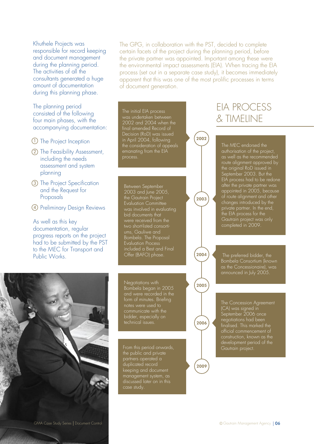Khuthele Projects was responsible for record keeping and document management during the planning period. The activities of all the consultants generated a huge amount of documentation during this planning phase.

The planning period consisted of the following four main phases, with the accompanying documentation:

- $\mathbb U$  The Project Inception
- 2) The Feasibility Assessment, including the needs assessment and system planning
- 3) The Project Specification and the Request for Proposals
- Preliminary Design Reviews 4

As well as this key documentation, regular progress reports on the project had to be submitted by the PST to the MEC for Transport and Public Works.

The GPG, in collaboration with the PST, decided to complete certain facets of the project during the planning period, before the private partner was appointed. Important among these were the environmental impact assessments (EIA). When tracing the EIA process (set out in a separate case study), it becomes immediately apparent that this was one of the most prolific processes in terms of document generation.

 $2002$ 

2003

2005

2006

2009

2004

The initial EIA process was undertaken between 2002 and 2004 when the final amended Record of Decision (RoD) was issued in April 2004, following the consideration of appeals emanating from the EIA process.

Between September 2003 and June 2005, the Gautrain Project Evaluation Committee was involved in evaluating bid documents that were received from the ums, Gauliwe and Bombela. The Proposal Evaluation Process included a Best and Final

#### Negotiations with Bombela began in 2005 and were recorded in the form of minutes. Briefing notes were used to communicate with the bidder, especially on technical issues.

From this period onwards, partners operated a duplicated record keeping and document management system, as discussed later on in this case study.

# EIA PROCESS & TIMELINE

The MEC endorsed the authorisation of the project, as well as the recommended route alignment approved by the original RoD issued in September 2003. But the EIA process had to be redone after the private partner was appointed in 2005, because of route alignment and other changes introduced by the private partner. In the end, the EIA process for the Gautrain project was only completed in 2009.

The preferred bidder, the Bombela Consortium (known as the Concessionaire), was announced in July 2005.

The Concession Agreement (CA) was signed in September 2006 once negotiations had been finalised. This marked the official commencement of construction, known as the development period of the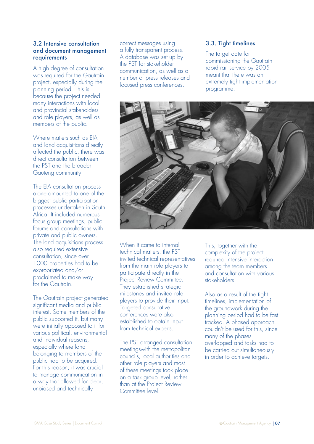# 3.2 Intensive consultation and document management requirements

A high degree of consultation was required for the Gautrain project, especially during the planning period. This is because the project needed many interactions with local and provincial stakeholders and role players, as well as members of the public.

Where matters such as EIA and land acquisitions directly affected the public, there was direct consultation between the PST and the broader Gauteng community.

The EIA consultation process alone amounted to one of the biggest public participation processes undertaken in South Africa. It included numerous focus group meetings, public forums and consultations with private and public owners. The land acquisitions process also required extensive consultation, since over 1000 properties had to be expropriated and/or proclaimed to make way for the Gautrain.

The Gautrain project generated significant media and public interest. Some members of the public supported it, but many were initially opposed to it for various political, environmental and individual reasons, especially where land belonging to members of the public had to be acquired. For this reason, it was crucial to manage communication in a way that allowed for clear, unbiased and technically

correct messages using a fully transparent process. A database was set up by the PST for stakeholder communication, as well as a number of press releases and focused press conferences.

# 3.3. Tight timelines

The target date for commissioning the Gautrain rapid rail service by 2005 meant that there was an extremely tight implementation programme.



When it came to internal technical matters, the PST invited technical representatives from the main role players to participate directly in the Project Review Committee. They established strategic milestones and invited role players to provide their input. Targeted consultative conferences were also established to obtain input from technical experts.

The PST arranged consultation meetingswith the metropolitan councils, local authorities and other role players and most of these meetings took place on a task group level, rather than at the Project Review Committee level.

This, together with the complexity of the project required intensive interaction among the team members and consultation with various stakeholders.

Also as a result of the tight timelines, implementation of the groundwork during the planning period had to be fast tracked. A phased approach couldn't be used for this, since many of the phases overlapped and tasks had to be carried out simultaneously in order to achieve targets.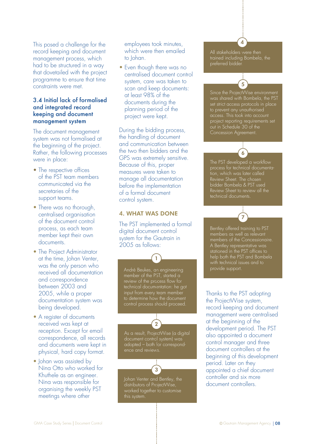This posed a challenge for the record keeping and document management process, which had to be structured in a way that dovetailed with the project programme to ensure that time constraints were met.

# 3.4 Initial lack of formalised and integrated record keeping and document management system

The document management system was not formalised at the beginning of the project. Rather, the following processes were in place:

- The respective offices of the PST team members communicated via the secretaries of the support teams.
- There was no thorough, centralised organisation of the document control process, as each team member kept their own documents.
- The Project Administrator at the time, Johan Venter, was the only person who received all documentation and correspondence between 2003 and 2005, while a proper documentation system was being developed.
- A register of documents received was kept at reception. Except for email correspondence, all records and documents were kept in physical, hard copy format.
- Johan was assisted by Nina Otto who worked for Khuthele as an engineer. Nina was responsible for organising the weekly PST meetings where other

 employees took minutes, which were then emailed to Johan.

• Even though there was no centralised document control system, care was taken to scan and keep documents: at least 98% of the documents during the planning period of the project were kept.

During the bidding process, the handling of document and communication between the two then bidders and the GPS was extremely sensitive. Because of this, proper measures were taken to manage all documentation before the implementation of a formal document control system.

# 4. WHAT WAS DONE

The PST implemented a formal digital document control system for the Gautrain in 2005 as follows:

André Beukes, an engineering member of the PST, started a review of the process flow for technical documentation: he got input from every team member to determine how the document control process should proceed.

1

As a result, ProjectWise (a digital document control system) was adopted – both for correspondence and reviews.

3

2

Johan Venter and Bentley, the distributors of ProjectWise, worked together to customise this system.

All stakeholders were then trained including Bombela, the preferred bidder.

4

Since the ProjectWise environment was shared with Bombela, the PST set strict access protocols in place to prevent any unauthorised access. This took into account project reporting requirements set out in Schedule 30 of the Concession Agreement.

5

The PST developed a workflow process for technical documentation, which was later called Review Sheet. The chosen bidder Bombela & PST used Review Sheet to review all the technical documents.

6

Bentley offered training to PST members as well as relevant members of the Concessionaire. A Bentley representative was stationed in the PST offices to help both the PST and Bombela with technical issues and to provide support.

7

Thanks to the PST adopting the ProjectWise system, record keeping and document management were centralised at the beginning of the development period. The PST also appointed a document control manager and three document controllers at the beginning of this development period. Later on they appointed a chief document controller and six more document controllers.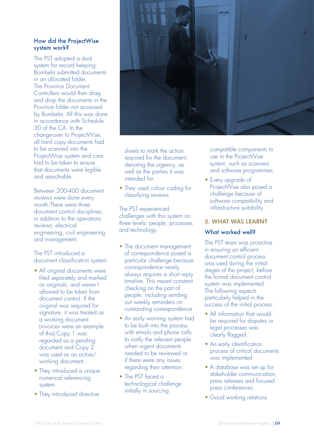# How did the ProjectWise system work?

The PST adopted a dual system for record keeping: Bombela submitted documents in an allocated folder, The Province Document Controllers would then drag and drop the documents in the Province folder not accessed by Bombela. All this was done in accordance with Schedule 30 of the CA. In the change-over to ProjectWise, all hard copy documents had to be scanned into the ProjectWise system and care had to be taken to ensure that documents were legible and searchable.

Between 200-400 document reviews were done every month.There were three document control disciplines, in addition to the operations reviews: electrical engineering, civil engineering and management.

The PST introduced a document classification system:

- All original documents were filed separately and marked as originals, and weren't allowed to be taken from document control. If the original was required for signature, it was treated as a working document (invoices were an example of this).Copy 1 was regarded as a pending document and Copy 2 was used as an active/ working document.
- They introduced a unique numerical referencing system.
- They introduced directive



 sheets to mark the action required for the document, denoting the urgency, as well as the parties it was intended for.

• They used colour coding for classifying reviews.

The PST experienced challenges with this system on three levels: people, processes and technology.

- The document management of correspondence posed a particular challenge because correspondence nearly always requires a short reply timeline. This meant constant checking on the part of people, including sending out weekly reminders on outstanding correspondence.
- An early warning system had to be built into the process with emails and phone calls to notify the relevant people when urgent documents needed to be reviewed or if there were any issues regarding their attention.
- The PST faced a technological challenge initially in sourcing

 compatible components to use in the ProjectWise system, such as scanners and software programmes.

• Every upgrade of ProjectWise also posed a challenge because of software compatibility and infrastructure suitability.

# 5. WHAT WAS LEARNT

### What worked well?

The PST team was proactive in ensuring an efficient document control process was used during the initial stages of the project, before the formal document control system was implemented. The following aspects particularly helped in the success of the initial process:

- All information that would be required for disputes or legal processes was clearly flagged.
- An early identification process of critical documents was implemented.
- A database was set up for stakeholder communication, press releases and focused press conferences.
- Good working relations